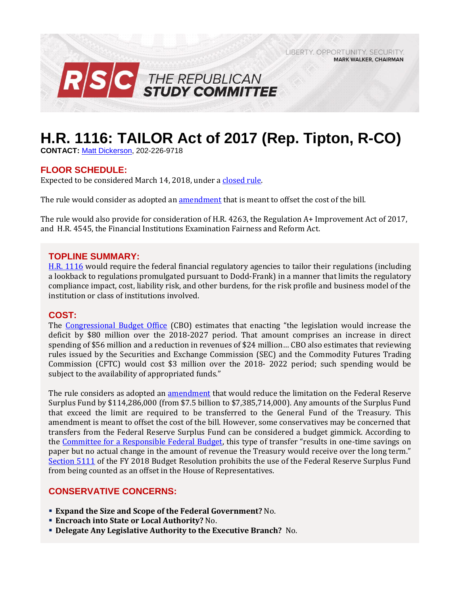LIBERTY, OPPORTUNITY, SECURITY, **MARK WALKER, CHAIRMAN** 



# **H.R. 1116: TAILOR Act of 2017 (Rep. Tipton, R-CO)**

**CONTACT:** [Matt Dickerson,](mailto:Matthew.Dickerson@mail.house.gov) 202-226-9718

# **FLOOR SCHEDULE:**

Expected to be considered March 14, 2018, under [a closed rule.](https://rules.house.gov/bill/115/hr-1116)

The rule would consider as adopted an [amendment](https://amendments-rules.house.gov/amendments/TAILOR%20Fed%20Amdt%20HR1116_FED_xml381815060868.pdf) that is meant to offset the cost of the bill.

The rule would also provide for consideration of H.R. 4263, the Regulation A+ Improvement Act of 2017, and H.R. 4545, the Financial Institutions Examination Fairness and Reform Act.

# **TOPLINE SUMMARY:**

[H.R. 1116](https://www.gpo.gov/fdsys/pkg/BILLS-115hr1116rh/pdf/BILLS-115hr1116rh.pdf) would require the federal financial regulatory agencies to tailor their regulations (including a lookback to regulations promulgated pursuant to Dodd-Frank) in a manner that limits the regulatory compliance impact, cost, liability risk, and other burdens, for the risk profile and business model of the institution or class of institutions involved.

# **COST:**

The [Congressional Budget Office](https://www.cbo.gov/system/files/115th-congress-2017-2018/costestimate/hr1116.pdf) (CBO) estimates that enacting "the legislation would increase the deficit by \$80 million over the 2018-2027 period. That amount comprises an increase in direct spending of \$56 million and a reduction in revenues of \$24 million… CBO also estimates that reviewing rules issued by the Securities and Exchange Commission (SEC) and the Commodity Futures Trading Commission (CFTC) would cost \$3 million over the 2018- 2022 period; such spending would be subject to the availability of appropriated funds."

The rule considers as adopted an [amendment](https://amendments-rules.house.gov/amendments/TAILOR%20Fed%20Amdt%20HR1116_FED_xml381815060868.pdf) that would reduce the limitation on the Federal Reserve Surplus Fund by \$114,286,000 (from \$7.5 billion to \$7,385,714,000). Any amounts of the Surplus Fund that exceed the limit are required to be transferred to the General Fund of the Treasury. This amendment is meant to offset the cost of the bill. However, some conservatives may be concerned that transfers from the Federal Reserve Surplus Fund can be considered a budget gimmick. According to the [Committee for a Responsible Federal Budget](http://www.crfb.org/blogs/federal-reserve-budget-gimmick-house-transportation-bill), this type of transfer "results in one-time savings on paper but no actual change in the amount of revenue the Treasury would receive over the long term." [Section 5111](https://www.congress.gov/115/bills/hconres71/BILLS-115hconres71enr.pdf#page=45) of the FY 2018 Budget Resolution prohibits the use of the Federal Reserve Surplus Fund from being counted as an offset in the House of Representatives.

# **CONSERVATIVE CONCERNS:**

- **Expand the Size and Scope of the Federal Government?** No.
- **Encroach into State or Local Authority?** No.
- **Delegate Any Legislative Authority to the Executive Branch?** No.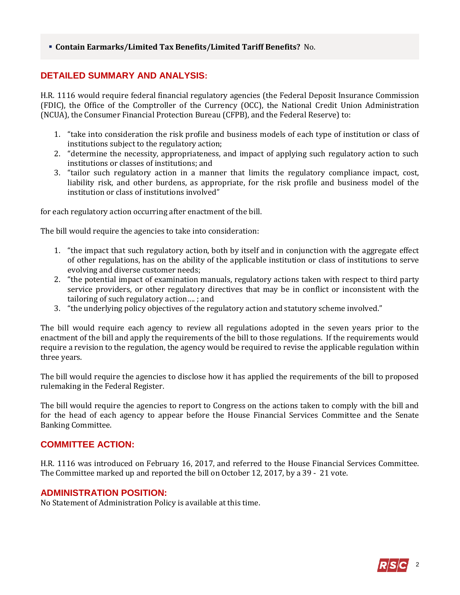#### ▪ **Contain Earmarks/Limited Tax Benefits/Limited Tariff Benefits?** No.

# **DETAILED SUMMARY AND ANALYSIS:**

H.R. 1116 would require federal financial regulatory agencies (the Federal Deposit Insurance Commission (FDIC), the Office of the Comptroller of the Currency (OCC), the National Credit Union Administration (NCUA), the Consumer Financial Protection Bureau (CFPB), and the Federal Reserve) to:

- 1. "take into consideration the risk profile and business models of each type of institution or class of institutions subject to the regulatory action;
- 2. "determine the necessity, appropriateness, and impact of applying such regulatory action to such institutions or classes of institutions; and
- 3. "tailor such regulatory action in a manner that limits the regulatory compliance impact, cost, liability risk, and other burdens, as appropriate, for the risk profile and business model of the institution or class of institutions involved"

for each regulatory action occurring after enactment of the bill.

The bill would require the agencies to take into consideration:

- 1. "the impact that such regulatory action, both by itself and in conjunction with the aggregate effect of other regulations, has on the ability of the applicable institution or class of institutions to serve evolving and diverse customer needs;
- 2. "the potential impact of examination manuals, regulatory actions taken with respect to third party service providers, or other regulatory directives that may be in conflict or inconsistent with the tailoring of such regulatory action…. ; and
- 3. "the underlying policy objectives of the regulatory action and statutory scheme involved."

The bill would require each agency to review all regulations adopted in the seven years prior to the enactment of the bill and apply the requirements of the bill to those regulations. If the requirements would require a revision to the regulation, the agency would be required to revise the applicable regulation within three years.

The bill would require the agencies to disclose how it has applied the requirements of the bill to proposed rulemaking in the Federal Register.

The bill would require the agencies to report to Congress on the actions taken to comply with the bill and for the head of each agency to appear before the House Financial Services Committee and the Senate Banking Committee.

# **COMMITTEE ACTION:**

H.R. 1116 was introduced on February 16, 2017, and referred to the House Financial Services Committee. The Committee marked up and reported the bill on October 12, 2017, by a 39 - 21 vote.

# **ADMINISTRATION POSITION:**

No Statement of Administration Policy is available at this time.